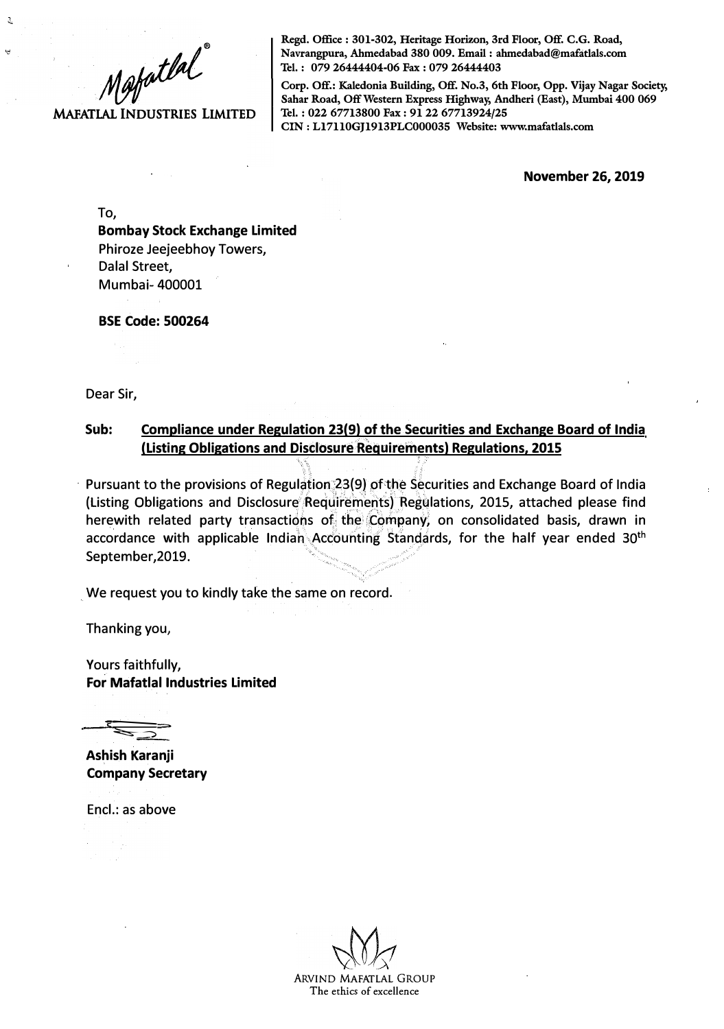

**MAFATLAL INDUSTRIES LIMITED** 

**Regd. Office : 301-302, Heritage Horizon, 3rd Floor, Off. C.G. Road, Navrangpura, Ahmedabad 380 009. Email : ahmedabad@mafatlals.com Tel. : 079 26444404-06 Fax : 079 26444403** 

**Corp. Off.: Kaledonia Building, Off. No.3, 6th Floor, Opp. Vijay Nagar Society, Sahar Road, Off Western Express Highway, Andheri (East), Mumbai 400 069 Tel. : 022 67713800 Fax : 91 22 67713924/25 CIN: Ll7110GJ1913PLC000035 Website: www.mafatlals.com** 

**November 26, 2019** 

To,

 $\mathfrak{I}$ 

 $\ddot{a}$ 

**Bombay Stock Exchange Limited**  Phiroze Jeejeebhoy Towers, Dalal Street, Mumbai- 400001

**BSE Code: 500264** 

Dear Sir,

## **Sub: Compliance under Regulation 23(9) of the Securities and Exchange Board of India (Listing Obligations and Disclosure Requirements) Regulations, 2015**

 $\cdot$  Pursuant to the provisions of Regulation 23(9) of the Securities and Exchange Board of India . (Listing Obligations and Disclosure Requirements) Regulations, 2015, attached please find herewith related party transactions of the Company, on consolidated basis, drawn in accordance with applicable Indiah Accounting Standards, for the half year ended 30<sup>th</sup> September,2019.

We request you to kindly take the same on record.

Thanking you,

Yours faithfully, **For Mafatlal Industries Limited**

 $\sum_{i=1}^n$ 

**Ashish Karanji Company Secretary** 

Encl.: as above

ARVIND MAFATLAL GROUP The ethics of excellence